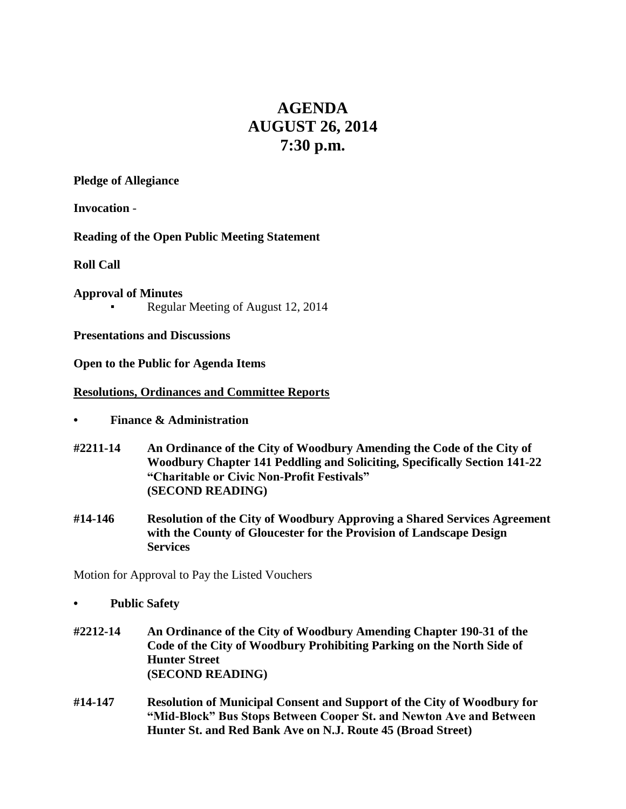# **AGENDA AUGUST 26, 2014 7:30 p.m.**

**Pledge of Allegiance**

**Invocation** -

**Reading of the Open Public Meeting Statement**

**Roll Call**

**Approval of Minutes** Regular Meeting of August 12, 2014

**Presentations and Discussions**

**Open to the Public for Agenda Items**

## **Resolutions, Ordinances and Committee Reports**

- **• Finance & Administration**
- **#2211-14 An Ordinance of the City of Woodbury Amending the Code of the City of Woodbury Chapter 141 Peddling and Soliciting, Specifically Section 141-22 "Charitable or Civic Non-Profit Festivals" (SECOND READING)**
- **#14-146 Resolution of the City of Woodbury Approving a Shared Services Agreement with the County of Gloucester for the Provision of Landscape Design Services**

Motion for Approval to Pay the Listed Vouchers

- **• Public Safety**
- **#2212-14 An Ordinance of the City of Woodbury Amending Chapter 190-31 of the Code of the City of Woodbury Prohibiting Parking on the North Side of Hunter Street (SECOND READING)**
- **#14-147 Resolution of Municipal Consent and Support of the City of Woodbury for "Mid-Block" Bus Stops Between Cooper St. and Newton Ave and Between Hunter St. and Red Bank Ave on N.J. Route 45 (Broad Street)**